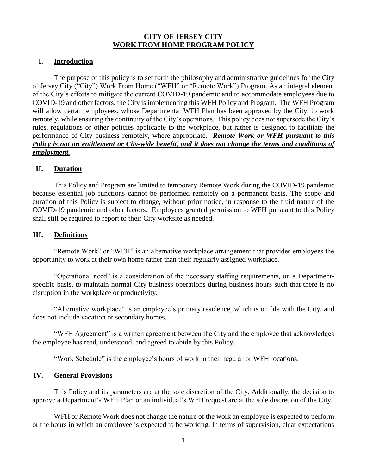# **CITY OF JERSEY CITY WORK FROM HOME PROGRAM POLICY**

### **I. Introduction**

The purpose of this policy is to set forth the philosophy and administrative guidelines for the City of Jersey City ("City") Work From Home ("WFH" or "Remote Work") Program. As an integral element of the City's efforts to mitigate the current COVID-19 pandemic and to accommodate employees due to COVID-19 and other factors, the City is implementing this WFH Policy and Program. The WFH Program will allow certain employees, whose Departmental WFH Plan has been approved by the City, to work remotely, while ensuring the continuity of the City's operations. This policy does not supersede the City's rules, regulations or other policies applicable to the workplace, but rather is designed to facilitate the performance of City business remotely, where appropriate. *Remote Work or WFH pursuant to this Policy is not an entitlement or City-wide benefit, and it does not change the terms and conditions of employment.*

#### **II. Duration**

This Policy and Program are limited to temporary Remote Work during the COVID-19 pandemic because essential job functions cannot be performed remotely on a permanent basis. The scope and duration of this Policy is subject to change, without prior notice, in response to the fluid nature of the COVID-19 pandemic and other factors. Employees granted permission to WFH pursuant to this Policy shall still be required to report to their City worksite as needed.

### **III. Definitions**

"Remote Work" or "WFH" is an alternative workplace arrangement that provides employees the opportunity to work at their own home rather than their regularly assigned workplace.

"Operational need" is a consideration of the necessary staffing requirements, on a Departmentspecific basis, to maintain normal City business operations during business hours such that there is no disruption in the workplace or productivity.

"Alternative workplace" is an employee's primary residence, which is on file with the City, and does not include vacation or secondary homes.

"WFH Agreement" is a written agreement between the City and the employee that acknowledges the employee has read, understood, and agreed to abide by this Policy.

"Work Schedule" is the employee's hours of work in their regular or WFH locations.

### **IV. General Provisions**

This Policy and its parameters are at the sole discretion of the City. Additionally, the decision to approve a Department's WFH Plan or an individual's WFH request are at the sole discretion of the City.

WFH or Remote Work does not change the nature of the work an employee is expected to perform or the hours in which an employee is expected to be working. In terms of supervision, clear expectations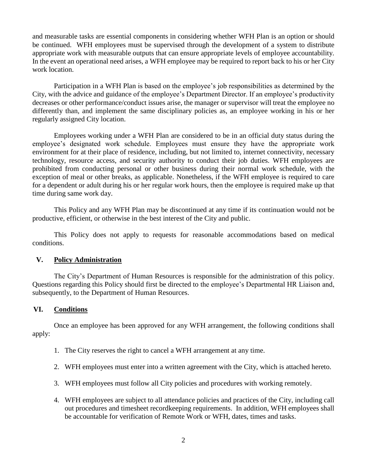and measurable tasks are essential components in considering whether WFH Plan is an option or should be continued. WFH employees must be supervised through the development of a system to distribute appropriate work with measurable outputs that can ensure appropriate levels of employee accountability. In the event an operational need arises, a WFH employee may be required to report back to his or her City work location.

Participation in a WFH Plan is based on the employee's job responsibilities as determined by the City, with the advice and guidance of the employee's Department Director. If an employee's productivity decreases or other performance/conduct issues arise, the manager or supervisor will treat the employee no differently than, and implement the same disciplinary policies as, an employee working in his or her regularly assigned City location.

Employees working under a WFH Plan are considered to be in an official duty status during the employee's designated work schedule. Employees must ensure they have the appropriate work environment for at their place of residence, including, but not limited to, internet connectivity, necessary technology, resource access, and security authority to conduct their job duties. WFH employees are prohibited from conducting personal or other business during their normal work schedule, with the exception of meal or other breaks, as applicable. Nonetheless, if the WFH employee is required to care for a dependent or adult during his or her regular work hours, then the employee is required make up that time during same work day.

This Policy and any WFH Plan may be discontinued at any time if its continuation would not be productive, efficient, or otherwise in the best interest of the City and public.

This Policy does not apply to requests for reasonable accommodations based on medical conditions.

# **V. Policy Administration**

The City's Department of Human Resources is responsible for the administration of this policy. Questions regarding this Policy should first be directed to the employee's Departmental HR Liaison and, subsequently, to the Department of Human Resources.

# **VI. Conditions**

Once an employee has been approved for any WFH arrangement, the following conditions shall apply:

- 1. The City reserves the right to cancel a WFH arrangement at any time.
- 2. WFH employees must enter into a written agreement with the City, which is attached hereto.
- 3. WFH employees must follow all City policies and procedures with working remotely.
- 4. WFH employees are subject to all attendance policies and practices of the City, including call out procedures and timesheet recordkeeping requirements. In addition, WFH employees shall be accountable for verification of Remote Work or WFH, dates, times and tasks.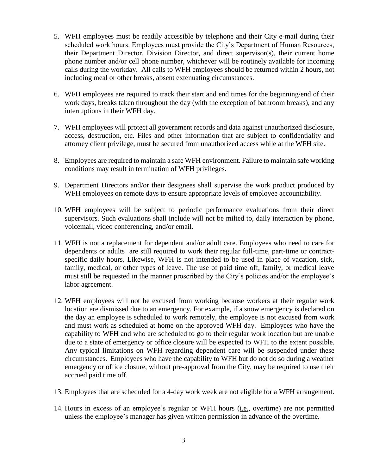- 5. WFH employees must be readily accessible by telephone and their City e-mail during their scheduled work hours. Employees must provide the City's Department of Human Resources, their Department Director, Division Director, and direct supervisor(s), their current home phone number and/or cell phone number, whichever will be routinely available for incoming calls during the workday. All calls to WFH employees should be returned within 2 hours, not including meal or other breaks, absent extenuating circumstances.
- 6. WFH employees are required to track their start and end times for the beginning/end of their work days, breaks taken throughout the day (with the exception of bathroom breaks), and any interruptions in their WFH day.
- 7. WFH employees will protect all government records and data against unauthorized disclosure, access, destruction, etc. Files and other information that are subject to confidentiality and attorney client privilege, must be secured from unauthorized access while at the WFH site.
- 8. Employees are required to maintain a safe WFH environment. Failure to maintain safe working conditions may result in termination of WFH privileges.
- 9. Department Directors and/or their designees shall supervise the work product produced by WFH employees on remote days to ensure appropriate levels of employee accountability.
- 10. WFH employees will be subject to periodic performance evaluations from their direct supervisors. Such evaluations shall include will not be milted to, daily interaction by phone, voicemail, video conferencing, and/or email.
- 11. WFH is not a replacement for dependent and/or adult care. Employees who need to care for dependents or adults are still required to work their regular full-time, part-time or contractspecific daily hours. Likewise, WFH is not intended to be used in place of vacation, sick, family, medical, or other types of leave. The use of paid time off, family, or medical leave must still be requested in the manner proscribed by the City's policies and/or the employee's labor agreement.
- 12. WFH employees will not be excused from working because workers at their regular work location are dismissed due to an emergency. For example, if a snow emergency is declared on the day an employee is scheduled to work remotely, the employee is not excused from work and must work as scheduled at home on the approved WFH day. Employees who have the capability to WFH and who are scheduled to go to their regular work location but are unable due to a state of emergency or office closure will be expected to WFH to the extent possible. Any typical limitations on WFH regarding dependent care will be suspended under these circumstances. Employees who have the capability to WFH but do not do so during a weather emergency or office closure, without pre-approval from the City, may be required to use their accrued paid time off.
- 13. Employees that are scheduled for a 4-day work week are not eligible for a WFH arrangement.
- 14. Hours in excess of an employee's regular or WFH hours (i.e., overtime) are not permitted unless the employee's manager has given written permission in advance of the overtime.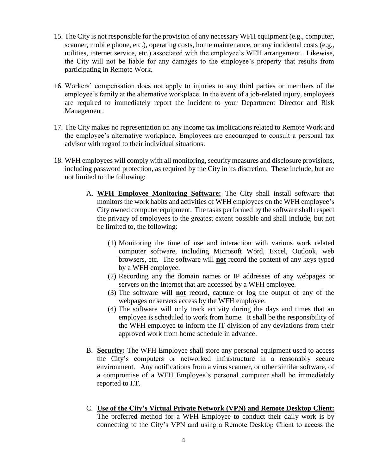- 15. The City is not responsible for the provision of any necessary WFH equipment (e.g., computer, scanner, mobile phone, etc.), operating costs, home maintenance, or any incidental costs (e.g., utilities, internet service, etc.) associated with the employee's WFH arrangement. Likewise, the City will not be liable for any damages to the employee's property that results from participating in Remote Work.
- 16. Workers' compensation does not apply to injuries to any third parties or members of the employee's family at the alternative workplace. In the event of a job-related injury, employees are required to immediately report the incident to your Department Director and Risk Management.
- 17. The City makes no representation on any income tax implications related to Remote Work and the employee's alternative workplace. Employees are encouraged to consult a personal tax advisor with regard to their individual situations.
- 18. WFH employees will comply with all monitoring, security measures and disclosure provisions, including password protection, as required by the City in its discretion. These include, but are not limited to the following:
	- A. **WFH Employee Monitoring Software:** The City shall install software that monitors the work habits and activities of WFH employees on the WFH employee's City owned computer equipment. The tasks performed by the software shall respect the privacy of employees to the greatest extent possible and shall include, but not be limited to, the following:
		- (1) Monitoring the time of use and interaction with various work related computer software, including Microsoft Word, Excel, Outlook, web browsers, etc. The software will **not** record the content of any keys typed by a WFH employee.
		- (2) Recording any the domain names or IP addresses of any webpages or servers on the Internet that are accessed by a WFH employee.
		- (3) The software will **not** record, capture or log the output of any of the webpages or servers access by the WFH employee.
		- (4) The software will only track activity during the days and times that an employee is scheduled to work from home. It shall be the responsibility of the WFH employee to inform the IT division of any deviations from their approved work from home schedule in advance.
	- B. **Security:** The WFH Employee shall store any personal equipment used to access the City's computers or networked infrastructure in a reasonably secure environment. Any notifications from a virus scanner, or other similar software, of a compromise of a WFH Employee's personal computer shall be immediately reported to I.T.
	- C. **Use of the City's Virtual Private Network (VPN) and Remote Desktop Client:** The preferred method for a WFH Employee to conduct their daily work is by connecting to the City's VPN and using a Remote Desktop Client to access the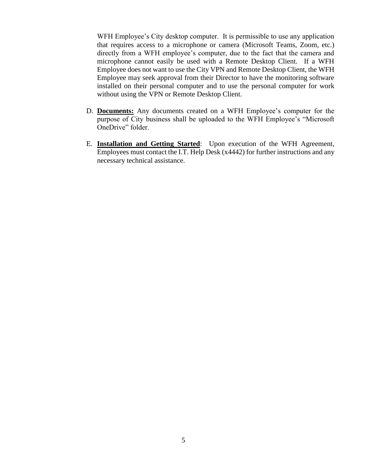WFH Employee's City desktop computer. It is permissible to use any application that requires access to a microphone or camera (Microsoft Teams, Zoom, etc.) directly from a WFH employee's computer, due to the fact that the camera and microphone cannot easily be used with a Remote Desktop Client. If a WFH Employee does not want to use the City VPN and Remote Desktop Client, the WFH Employee may seek approval from their Director to have the monitoring software installed on their personal computer and to use the personal computer for work without using the VPN or Remote Desktop Client.

- D. **Documents:** Any documents created on a WFH Employee's computer for the purpose of City business shall be uploaded to the WFH Employee's "Microsoft OneDrive" folder.
- E. **Installation and Getting Started**: Upon execution of the WFH Agreement, Employees must contact the I.T. Help Desk (x4442) for further instructions and any necessary technical assistance.